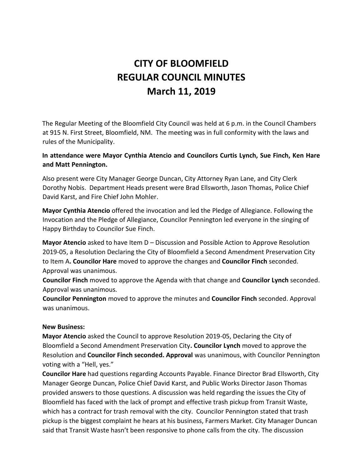# **CITY OF BLOOMFIELD REGULAR COUNCIL MINUTES March 11, 2019**

The Regular Meeting of the Bloomfield City Council was held at 6 p.m. in the Council Chambers at 915 N. First Street, Bloomfield, NM. The meeting was in full conformity with the laws and rules of the Municipality.

## **In attendance were Mayor Cynthia Atencio and Councilors Curtis Lynch, Sue Finch, Ken Hare and Matt Pennington.**

Also present were City Manager George Duncan, City Attorney Ryan Lane, and City Clerk Dorothy Nobis. Department Heads present were Brad Ellsworth, Jason Thomas, Police Chief David Karst, and Fire Chief John Mohler.

**Mayor Cynthia Atencio** offered the invocation and led the Pledge of Allegiance. Following the Invocation and the Pledge of Allegiance, Councilor Pennington led everyone in the singing of Happy Birthday to Councilor Sue Finch.

**Mayor Atencio** asked to have Item D – Discussion and Possible Action to Approve Resolution 2019-05, a Resolution Declaring the City of Bloomfield a Second Amendment Preservation City to Item A**. Councilor Hare** moved to approve the changes and **Councilor Finch** seconded. Approval was unanimous.

**Councilor Finch** moved to approve the Agenda with that change and **Councilor Lynch** seconded. Approval was unanimous.

**Councilor Pennington** moved to approve the minutes and **Councilor Finch** seconded. Approval was unanimous.

#### **New Business:**

**Mayor Atencio** asked the Council to approve Resolution 2019-05, Declaring the City of Bloomfield a Second Amendment Preservation City**. Councilor Lynch** moved to approve the Resolution and **Councilor Finch seconded. Approval** was unanimous, with Councilor Pennington voting with a "Hell, yes."

**Councilor Hare** had questions regarding Accounts Payable. Finance Director Brad Ellsworth, City Manager George Duncan, Police Chief David Karst, and Public Works Director Jason Thomas provided answers to those questions. A discussion was held regarding the issues the City of Bloomfield has faced with the lack of prompt and effective trash pickup from Transit Waste, which has a contract for trash removal with the city. Councilor Pennington stated that trash pickup is the biggest complaint he hears at his business, Farmers Market. City Manager Duncan said that Transit Waste hasn't been responsive to phone calls from the city. The discussion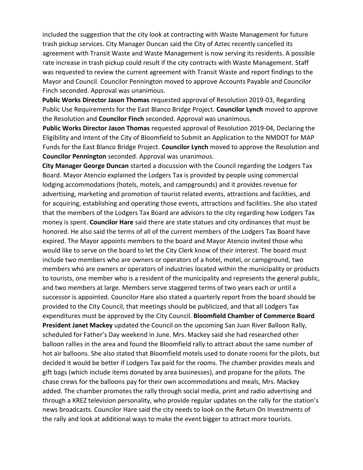included the suggestion that the city look at contracting with Waste Management for future trash pickup services. City Manager Duncan said the City of Aztec recently cancelled its agreement with Transit Waste and Waste Management is now serving its residents. A possible rate increase in trash pickup could result if the city contracts with Waste Management. Staff was requested to review the current agreement with Transit Waste and report findings to the Mayor and Council. Councilor Pennington moved to approve Accounts Payable and Councilor Finch seconded. Approval was unanimous.

**Public Works Director Jason Thomas** requested approval of Resolution 2019-03, Regarding Public Use Requirements for the East Blanco Bridge Project. **Councilor Lynch** moved to approve the Resolution and **Councilor Finch** seconded. Approval was unanimous.

**Public Works Director Jason Thomas** requested approval of Resolution 2019-04, Declaring the Eligibility and Intent of the City of Bloomfield to Submit an Application to the NMDOT for MAP Funds for the East Blanco Bridge Project. **Councilor Lynch** moved to approve the Resolution and **Councilor Pennington** seconded. Approval was unanimous.

**City Manager George Duncan** started a discussion with the Council regarding the Lodgers Tax Board. Mayor Atencio explained the Lodgers Tax is provided by people using commercial lodging accommodations (hotels, motels, and campgrounds) and it provides revenue for advertising, marketing and promotion of tourist related events, attractions and facilities, and for acquiring, establishing and operating those events, attractions and facilities. She also stated that the members of the Lodgers Tax Board are advisors to the city regarding how Lodgers Tax money is spent. **Councilor Hare** said there are state statues and city ordinances that must be honored. He also said the terms of all of the current members of the Lodgers Tax Board have expired. The Mayor appoints members to the board and Mayor Atencio invited those who would like to serve on the board to let the City Clerk know of their interest. The board must include two members who are owners or operators of a hotel, motel, or campground, two members who are owners or operators of industries located within the municipality or products to tourists, one member who is a resident of the municipality and represents the general public, and two members at large. Members serve staggered terms of two years each or until a successor is appointed. Councilor Hare also stated a quarterly report from the board should be provided to the City Council, that meetings should be publicized, and that all Lodgers Tax expenditures must be approved by the City Council. **Bloomfield Chamber of Commerce Board President Janet Mackey** updated the Council on the upcoming San Juan River Balloon Rally, scheduled for Father's Day weekend in June. Mrs. Mackey said she had researched other balloon rallies in the area and found the Bloomfield rally to attract about the same number of hot air balloons. She also stated that Bloomfield motels used to donate rooms for the pilots, but decided it would be better if Lodgers Tax paid for the rooms. The chamber provides meals and gift bags (which include items donated by area businesses), and propane for the pilots. The chase crews for the balloons pay for their own accommodations and meals, Mrs. Mackey added. The chamber promotes the rally through social media, print and radio advertising and through a KREZ television personality, who provide regular updates on the rally for the station's news broadcasts. Councilor Hare said the city needs to look on the Return On Investments of the rally and look at additional ways to make the event bigger to attract more tourists.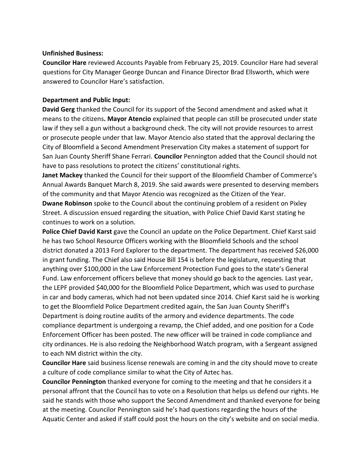#### **Unfinished Business:**

**Councilor Hare** reviewed Accounts Payable from February 25, 2019. Councilor Hare had several questions for City Manager George Duncan and Finance Director Brad Ellsworth, which were answered to Councilor Hare's satisfaction.

#### **Department and Public Input:**

**David Gerg** thanked the Council for its support of the Second amendment and asked what it means to the citizens**. Mayor Atencio** explained that people can still be prosecuted under state law if they sell a gun without a background check. The city will not provide resources to arrest or prosecute people under that law. Mayor Atencio also stated that the approval declaring the City of Bloomfield a Second Amendment Preservation City makes a statement of support for San Juan County Sheriff Shane Ferrari. **Councilor** Pennington added that the Council should not have to pass resolutions to protect the citizens' constitutional rights.

**Janet Mackey** thanked the Council for their support of the Bloomfield Chamber of Commerce's Annual Awards Banquet March 8, 2019. She said awards were presented to deserving members of the community and that Mayor Atencio was recognized as the Citizen of the Year.

**Dwane Robinson** spoke to the Council about the continuing problem of a resident on Pixley Street. A discussion ensued regarding the situation, with Police Chief David Karst stating he continues to work on a solution.

**Police Chief David Karst** gave the Council an update on the Police Department. Chief Karst said he has two School Resource Officers working with the Bloomfield Schools and the school district donated a 2013 Ford Explorer to the department. The department has received \$26,000 in grant funding. The Chief also said House Bill 154 is before the legislature, requesting that anything over \$100,000 in the Law Enforcement Protection Fund goes to the state's General Fund. Law enforcement officers believe that money should go back to the agencies. Last year, the LEPF provided \$40,000 for the Bloomfield Police Department, which was used to purchase in car and body cameras, which had not been updated since 2014. Chief Karst said he is working to get the Bloomfield Police Department credited again, the San Juan County Sheriff's Department is doing routine audits of the armory and evidence departments. The code compliance department is undergoing a revamp, the Chief added, and one position for a Code Enforcement Officer has been posted. The new officer will be trained in code compliance and city ordinances. He is also redoing the Neighborhood Watch program, with a Sergeant assigned to each NM district within the city.

**Councilor Hare** said business license renewals are coming in and the city should move to create a culture of code compliance similar to what the City of Aztec has.

**Councilor Pennington** thanked everyone for coming to the meeting and that he considers it a personal affront that the Council has to vote on a Resolution that helps us defend our rights. He said he stands with those who support the Second Amendment and thanked everyone for being at the meeting. Councilor Pennington said he's had questions regarding the hours of the Aquatic Center and asked if staff could post the hours on the city's website and on social media.